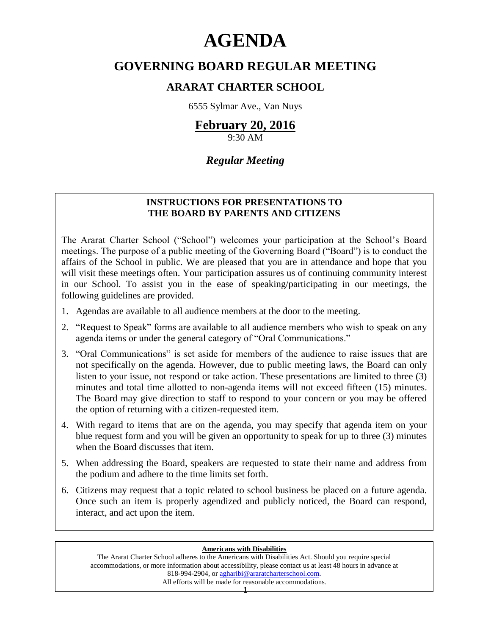# **AGENDA**

# **GOVERNING BOARD REGULAR MEETING**

## **ARARAT CHARTER SCHOOL**

6555 Sylmar Ave., Van Nuys

# **February 20, 2016**

9:30 AM

## *Regular Meeting*

## **INSTRUCTIONS FOR PRESENTATIONS TO THE BOARD BY PARENTS AND CITIZENS**

The Ararat Charter School ("School") welcomes your participation at the School's Board meetings. The purpose of a public meeting of the Governing Board ("Board") is to conduct the affairs of the School in public. We are pleased that you are in attendance and hope that you will visit these meetings often. Your participation assures us of continuing community interest in our School. To assist you in the ease of speaking/participating in our meetings, the following guidelines are provided.

- 1. Agendas are available to all audience members at the door to the meeting.
- 2. "Request to Speak" forms are available to all audience members who wish to speak on any agenda items or under the general category of "Oral Communications."
- 3. "Oral Communications" is set aside for members of the audience to raise issues that are not specifically on the agenda. However, due to public meeting laws, the Board can only listen to your issue, not respond or take action. These presentations are limited to three (3) minutes and total time allotted to non-agenda items will not exceed fifteen (15) minutes. The Board may give direction to staff to respond to your concern or you may be offered the option of returning with a citizen-requested item.
- 4. With regard to items that are on the agenda, you may specify that agenda item on your blue request form and you will be given an opportunity to speak for up to three (3) minutes when the Board discusses that item.
- 5. When addressing the Board, speakers are requested to state their name and address from the podium and adhere to the time limits set forth.
- 6. Citizens may request that a topic related to school business be placed on a future agenda. Once such an item is properly agendized and publicly noticed, the Board can respond, interact, and act upon the item.

#### **Americans with Disabilities**

The Ararat Charter School adheres to the Americans with Disabilities Act. Should you require special accommodations, or more information about accessibility, please contact us at least 48 hours in advance at 818-994-2904, or [agharibi@araratcharterschool.com.](mailto:agharibi@araratcharterschool.com)  All efforts will be made for reasonable accommodations.

1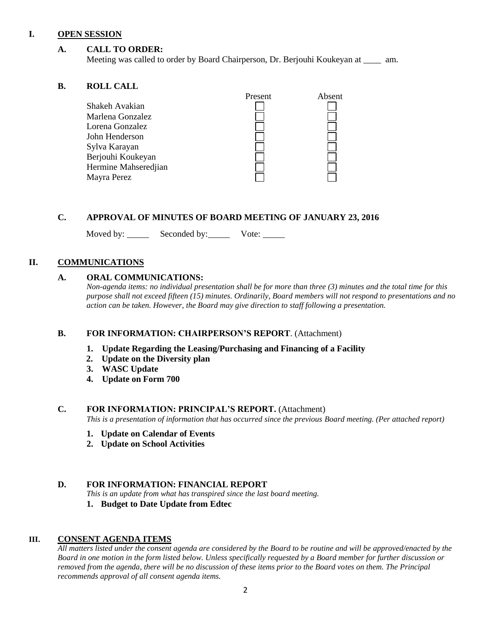#### **I. OPEN SESSION**

#### **A. CALL TO ORDER:**

Meeting was called to order by Board Chairperson, Dr. Berjouhi Koukeyan at \_\_\_\_ am.

#### **B. ROLL CALL**

|                      | Present | Absent |
|----------------------|---------|--------|
| Shakeh Avakian       |         |        |
| Marlena Gonzalez     |         |        |
| Lorena Gonzalez      |         |        |
| John Henderson       |         |        |
| Sylva Karayan        |         |        |
| Berjouhi Koukeyan    |         |        |
| Hermine Mahseredjian |         |        |
| Mayra Perez          |         |        |
|                      |         |        |

#### **C. APPROVAL OF MINUTES OF BOARD MEETING OF JANUARY 23, 2016**

Moved by: Seconded by: Vote: Vote:

#### **II. COMMUNICATIONS**

#### **A. ORAL COMMUNICATIONS:**

*Non-agenda items: no individual presentation shall be for more than three (3) minutes and the total time for this purpose shall not exceed fifteen (15) minutes. Ordinarily, Board members will not respond to presentations and no action can be taken. However, the Board may give direction to staff following a presentation.*

#### **B. FOR INFORMATION: CHAIRPERSON'S REPORT**. (Attachment)

- **1. Update Regarding the Leasing/Purchasing and Financing of a Facility**
- **2. Update on the Diversity plan**
- **3. WASC Update**
- **4. Update on Form 700**

#### **C. FOR INFORMATION: PRINCIPAL'S REPORT.** (Attachment)

*This is a presentation of information that has occurred since the previous Board meeting. (Per attached report)*

- **1. Update on Calendar of Events**
- **2. Update on School Activities**

#### **D. FOR INFORMATION: FINANCIAL REPORT**

*This is an update from what has transpired since the last board meeting.*

**1. Budget to Date Update from Edtec**

#### **III. CONSENT AGENDA ITEMS**

*All matters listed under the consent agenda are considered by the Board to be routine and will be approved/enacted by the Board in one motion in the form listed below. Unless specifically requested by a Board member for further discussion or removed from the agenda, there will be no discussion of these items prior to the Board votes on them. The Principal recommends approval of all consent agenda items.*